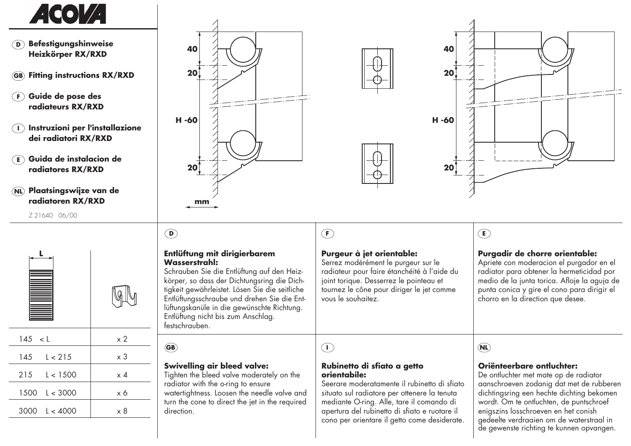

- **DBefestigungshinweiseHeizkörper RX/RXD**
- **GBFitting instructions RX/RXD**
- **FGuide de pose des radiateurs RX/RXD**
- **Instruzioni per l'installazione dei radiatori RX/RXD**
- **EGuida de instalacion de radiatores RX/RXD**
- **NLPlaatsingswijze van de radiatoren RX/RXD**

Z 21640 06/00









### **Entlüftung mit dirigierbarem Wasserstrahl:**

 Schrauben Sie die Entlüftung auf den Heizkörper, so dass der Dichtungsring die Dichtigkeit gewährleistet. Lösen Sie die seitliche Entlüftungsschraube und drehen Sie die Entlüftungskanüle in die gewünschte Richtung. Entlüftung nicht bis zum Anschlag. festschrauben.

## **GB**

**D**

### **Swivelling air bleed valve:**

 Tighten the bleed valve moderately on the radiator with the o-ring to ensure watertightness. Loosen the needle valve and turn the cone to direct the jet in the required direction.

# **F**

### **Purgeur à jet orientable:**

 Serrez modérément le purgeur sur le radiateur pour faire étanchéité à l'aide du joint torique. Desserrez le pointeau et tournez le cône pour diriger le jet comme vous le souhaitez.

## **E**

### **Purgadir de chorre orientable:**

 Apriete con moderacion el purgador en el radiator para obtener la hermeticidad por medio de la junta torica. Afloje la aguja de punta conica y gire el cono para dirigir el chorro en la direction que desee.

**I**

#### **Rubinetto di sfiato a getto orientabile:**

 Seerare moderatamente il rubinetto di sfiato situato sul radiatore per ottenere la tenuta mediante O-ring. Alle, tare il comando di apertura del rubinetto di sfiato e ruotare il cono per orientare il getto come desiderate.

## **NL**

### **Oriënteerbare ontluchter:**

 De ontluchter met mate op de radiator aanschroeven zodanig dat met de rubberen dichtingsring een hechte dichting bekomen wordt. Om te ontluchten, de puntschroef enigszins losschroeven en het conish gedeelte verdraaien om de waterstraal in de gewenste richting te kunnen opvangen.